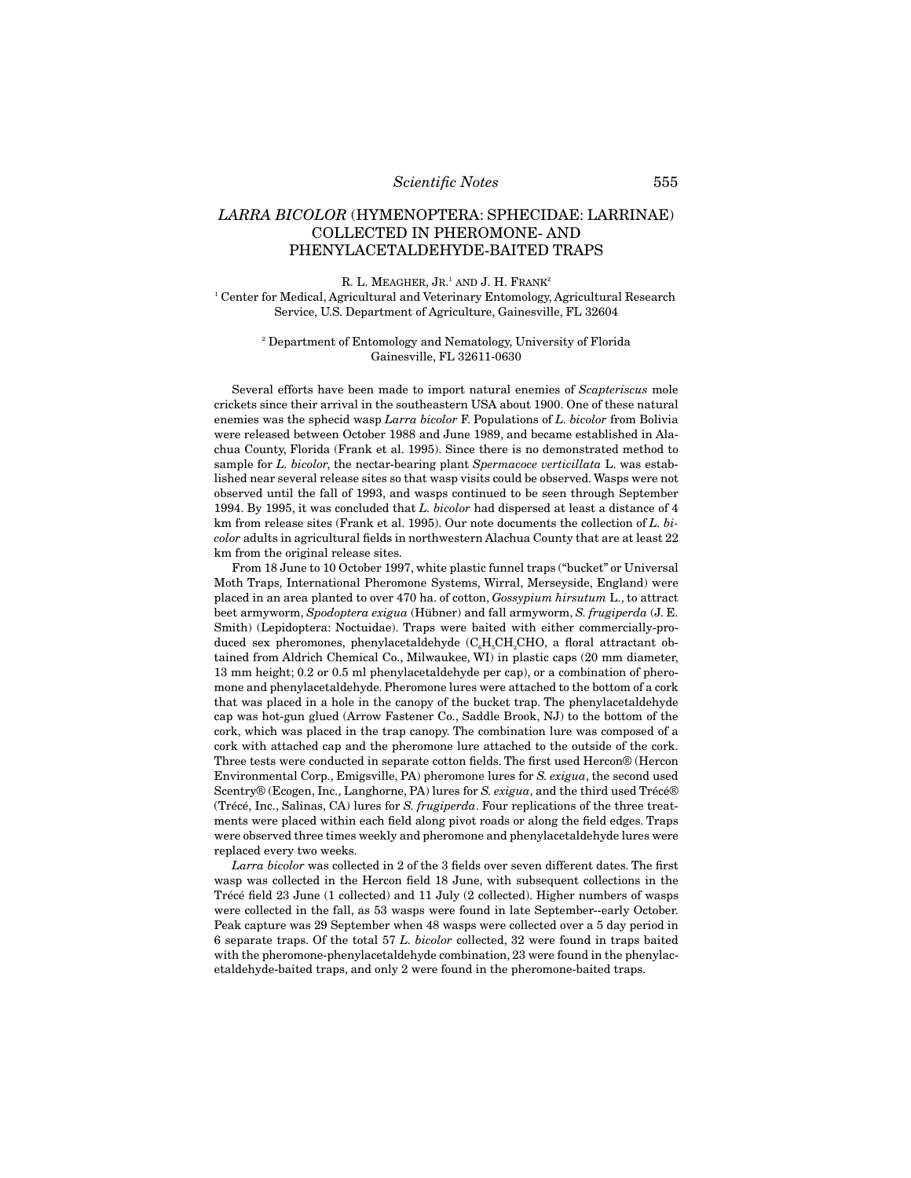## *Scientific Notes* 555

# *LARRA BICOLOR* (HYMENOPTERA: SPHECIDAE: LARRINAE) COLLECTED IN PHEROMONE- AND PHENYLACETALDEHYDE-BAITED TRAPS

R. L. Meagher, Jr.<sup>1</sup> and J. H. Frank<sup>2</sup> 1 Center for Medical, Agricultural and Veterinary Entomology, Agricultural Research Service, U.S. Department of Agriculture, Gainesville, FL 32604

#### 2 Department of Entomology and Nematology, University of Florida Gainesville, FL 32611-0630

Several efforts have been made to import natural enemies of *Scapteriscus* mole crickets since their arrival in the southeastern USA about 1900. One of these natural enemies was the sphecid wasp *Larra bicolor* F. Populations of *L. bicolor* from Bolivia were released between October 1988 and June 1989, and became established in Alachua County, Florida (Frank et al. 1995). Since there is no demonstrated method to sample for *L. bicolor*, the nectar-bearing plant *Spermacoce verticillata* L. was established near several release sites so that wasp visits could be observed. Wasps were not observed until the fall of 1993, and wasps continued to be seen through September 1994. By 1995, it was concluded that *L. bicolor* had dispersed at least a distance of 4 km from release sites (Frank et al. 1995). Our note documents the collection of *L. bicolor* adults in agricultural fields in northwestern Alachua County that are at least 22 km from the original release sites.

From 18 June to 10 October 1997, white plastic funnel traps ("bucket" or Universal Moth Traps, International Pheromone Systems, Wirral, Merseyside, England) were placed in an area planted to over 470 ha. of cotton, *Gossypium hirsutum* L., to attract beet armyworm, *Spodoptera exigua* (Hübner) and fall armyworm, *S. frugiperda* (J. E. Smith) (Lepidoptera: Noctuidae). Traps were baited with either commercially-produced sex pheromones, phenylacetaldehyde  $(C_eH_eCH_eCHO$ , a floral attractant obtained from Aldrich Chemical Co., Milwaukee, WI) in plastic caps (20 mm diameter, 13 mm height; 0.2 or 0.5 ml phenylacetaldehyde per cap), or a combination of pheromone and phenylacetaldehyde. Pheromone lures were attached to the bottom of a cork that was placed in a hole in the canopy of the bucket trap. The phenylacetaldehyde cap was hot-gun glued (Arrow Fastener Co., Saddle Brook, NJ) to the bottom of the cork, which was placed in the trap canopy. The combination lure was composed of a cork with attached cap and the pheromone lure attached to the outside of the cork. Three tests were conducted in separate cotton fields. The first used Hercon® (Hercon Environmental Corp., Emigsville, PA) pheromone lures for *S. exigua*, the second used Scentry® (Ecogen, Inc., Langhorne, PA) lures for *S. exigua*, and the third used Trécé® (Trécé, Inc., Salinas, CA) lures for *S. frugiperda*. Four replications of the three treatments were placed within each field along pivot roads or along the field edges. Traps were observed three times weekly and pheromone and phenylacetaldehyde lures were replaced every two weeks.

*Larra bicolor* was collected in 2 of the 3 fields over seven different dates. The first wasp was collected in the Hercon field 18 June, with subsequent collections in the Trécé field 23 June (1 collected) and 11 July (2 collected). Higher numbers of wasps were collected in the fall, as 53 wasps were found in late September--early October. Peak capture was 29 September when 48 wasps were collected over a 5 day period in 6 separate traps. Of the total 57 *L. bicolor* collected, 32 were found in traps baited with the pheromone-phenylacetaldehyde combination, 23 were found in the phenylacetaldehyde-baited traps, and only 2 were found in the pheromone-baited traps.